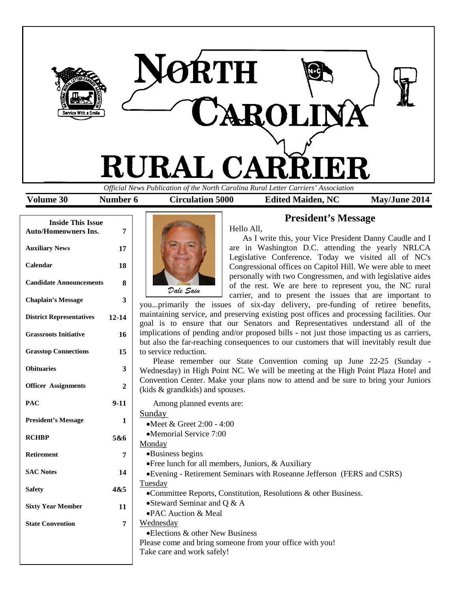

| <b>Inside This Issue</b><br><b>Auto/Homeowners Ins.</b> | 7         |
|---------------------------------------------------------|-----------|
| <b>Auxiliary News</b>                                   | 17        |
| Calendar                                                | 18        |
| <b>Candidate Announcements</b>                          | 8         |
| <b>Chaplain's Message</b>                               | 3         |
| <b>District Representatives</b>                         | $12 - 14$ |
| <b>Grassroots Initiative</b>                            | 16        |
| <b>Grasstop Connections</b>                             | 15        |
| <b>Obituaries</b>                                       | 3         |
| <b>Officer Assignments</b>                              | 2         |
| PAC                                                     | $9-11$    |
| <b>President's Message</b>                              | 1         |
| <b>RCHBP</b>                                            | 5&6       |
| Retirement                                              | 7         |
| <b>SAC Notes</b>                                        | 14        |
| <b>Safety</b>                                           | 4&5       |
| <b>Sixty Year Member</b>                                | 11        |
| <b>State Convention</b>                                 | 7         |

**President's Message**



Hello All,

As I write this, your Vice President Danny Caudle and I are in Washington D.C. attending the yearly NRLCA Legislative Conference. Today we visited all of NC's Congressional offices on Capitol Hill. We were able to meet personally with two Congressmen, and with legislative aides of the rest. We are here to represent you, the NC rural carrier, and to present the issues that are important to

you...primarily the issues of six-day delivery, pre-funding of retiree benefits, maintaining service, and preserving existing post offices and processing facilities. Our goal is to ensure that our Senators and Representatives understand all of the implications of pending and/or proposed bills - not just those impacting us as carriers, but also the far-reaching consequences to our customers that will inevitably result due to service reduction.

Please remember our State Convention coming up June 22-25 (Sunday - Wednesday) in High Point NC. We will be meeting at the High Point Plaza Hotel and Convention Center. Make your plans now to attend and be sure to bring your Juniors (kids & grandkids) and spouses.

Among planned events are: Sunday •Meet & Greet 2:00 - 4:00 •Memorial Service 7:00 Monday •Business begins •Free lunch for all members, Juniors, & Auxiliary •Evening - Retirement Seminars with Roseanne Jefferson (FERS and CSRS) Tuesday •Committee Reports, Constitution, Resolutions & other Business. •Steward Seminar and Q & A •PAC Auction & Meal Wednesday •Elections & other New Business Please come and bring someone from your office with you! Take care and work safely!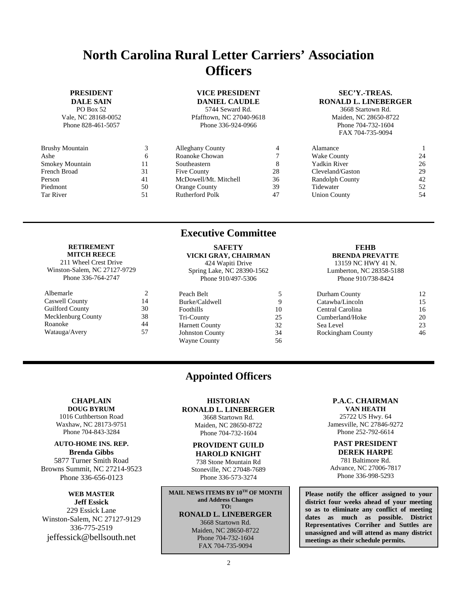# **North Carolina Rural Letter Carriers' Association Officers**

### **PRESIDENT**

**DALE SAIN** PO Box 52 Vale, NC 28168-0052 Phone 828-461-5057

| <b>Brushy Mountain</b> | 3  |
|------------------------|----|
| Ashe                   | 6  |
| <b>Smokey Mountain</b> | 11 |
| French Broad           | 31 |
| Person                 | 41 |
| Piedmont               | 50 |
| Tar River              | 51 |

**RETIREMENT MITCH REECE** 211 Wheel Crest Drive Winston-Salem, NC 27127-9729 Phone 336-764-2747

Albemarle 2<br>Caswell County 14 Caswell County 14<br>
Guilford County 30

Mecklenburg County 38 Roanoke 44 Watauga/Avery 57

**Guilford County** 

### **VICE PRESIDENT DANIEL CAUDLE**

5744 Seward Rd. Pfafftown, NC 27040-9618 Phone 336-924-0966

### **SEC'Y.-TREAS. RONALD L. LINEBERGER**

3668 Startown Rd. Maiden, NC 28650-8722 Phone 704-732-1604 FAX 704-735-9094

| Ć  | <b>Alleghany County</b> |    | Alamance               |    |
|----|-------------------------|----|------------------------|----|
| O  | Roanoke Chowan          |    | Wake County            | 24 |
| 11 | Southeastern            |    | Yadkin River           | 26 |
| 31 | Five County             | 28 | Cleveland/Gaston       | 29 |
| 41 | McDowell/Mt. Mitchell   | 36 | <b>Randolph County</b> | 42 |
| 50 | <b>Orange County</b>    | 39 | Tidewater              | 52 |
| 51 | Rutherford Polk         | 47 | <b>Union County</b>    | 54 |
|    |                         |    |                        |    |

### **Executive Committee**

### **SAFETY VICKI GRAY, CHAIRMAN**

| 424 Wapiti Drive           |    |
|----------------------------|----|
| Spring Lake, NC 28390-1562 |    |
| Phone 910/497-5306         |    |
|                            |    |
| Peach Belt                 | 5  |
| Burke/Caldwell             | 9  |
| Foothills                  | 10 |
| Tri-County                 | 25 |
| <b>Harnett County</b>      | 32 |
| <b>Johnston County</b>     | 34 |

### **FEHB BRENDA PREVATTE**

13159 NC HWY 41 N. Lumberton, NC 28358-5188 Phone 910/738-8424

| Durham County     | 12 |
|-------------------|----|
| Catawba/Lincoln   | 15 |
| Central Carolina  | 16 |
| Cumberland/Hoke   | 20 |
| Sea Level         | 23 |
| Rockingham County | 46 |

### **CHAPLAIN DOUG BYRUM**

1016 Cuthbertson Road Waxhaw, NC 28173-9751 Phone 704-843-3284

**AUTO-HOME INS. REP.**

**Brenda Gibbs** 5877 Turner Smith Road Browns Summit, NC 27214-9523 Phone 336-656-0123

### **WEB MASTER**

**Jeff Essick** 229 Essick Lane Winston-Salem, NC 27127-9129 336-775-2519 jeffessick@bellsouth.net

# **Appointed Officers**

Wayne County 56

### **HISTORIAN RONALD L. LINEBERGER**

3668 Startown Rd. Maiden, NC 28650-8722 Phone 704-732-1604

### **PROVIDENT GUILD HAROLD KNIGHT**

738 Stone Mountain Rd Stoneville, NC 27048-7689 Phone 336-573-3274

**MAIL NEWS ITEMS BY 10TH OF MONTH and Address Changes TO: RONALD L. LINEBERGER** 3668 Startown Rd. Maiden, NC 28650-8722 Phone 704-732-1604 FAX 704-735-9094

### **P.A.C. CHAIRMAN**

**VAN HEATH** 25722 US Hwy. 64 Jamesville, NC 27846-9272 Phone 252-792-6614

### **PAST PRESIDENT DEREK HARPE**

781 Baltimore Rd. Advance, NC 27006-7817 Phone 336-998-5293

**Please notify the officer assigned to your district four weeks ahead of your meeting so as to eliminate any conflict of meeting dates as much as possible. District Representatives Corriher and Suttles are unassigned and will attend as many district meetings as their schedule permits.**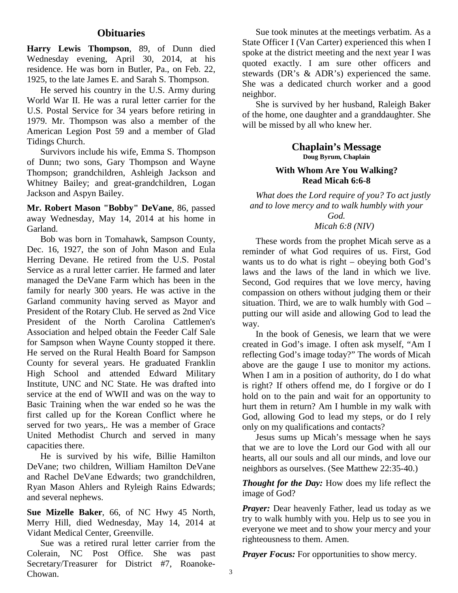### **Obituaries**

**Harry Lewis Thompson**, 89, of Dunn died Wednesday evening, April 30, 2014, at his residence. He was born in Butler, Pa., on Feb. 22, 1925, to the late James E. and Sarah S. Thompson.

He served his country in the U.S. Army during World War II. He was a rural letter carrier for the U.S. Postal Service for 34 years before retiring in 1979. Mr. Thompson was also a member of the American Legion Post 59 and a member of Glad Tidings Church.

Survivors include his wife, Emma S. Thompson of Dunn; two sons, Gary Thompson and Wayne Thompson; grandchildren, Ashleigh Jackson and Whitney Bailey; and great-grandchildren, Logan Jackson and Aspyn Bailey.

**Mr. Robert Mason "Bobby" DeVane**, 86, passed away Wednesday, May 14, 2014 at his home in Garland.

Bob was born in Tomahawk, Sampson County, Dec. 16, 1927, the son of John Mason and Eula Herring Devane. He retired from the U.S. Postal Service as a rural letter carrier. He farmed and later managed the DeVane Farm which has been in the family for nearly 300 years. He was active in the Garland community having served as Mayor and President of the Rotary Club. He served as 2nd Vice President of the North Carolina Cattlemen's Association and helped obtain the Feeder Calf Sale for Sampson when Wayne County stopped it there. He served on the Rural Health Board for Sampson County for several years. He graduated Franklin High School and attended Edward Military Institute, UNC and NC State. He was drafted into service at the end of WWII and was on the way to Basic Training when the war ended so he was the first called up for the Korean Conflict where he served for two years,. He was a member of Grace United Methodist Church and served in many capacities there.

He is survived by his wife, Billie Hamilton DeVane; two children, William Hamilton DeVane and Rachel DeVane Edwards; two grandchildren, Ryan Mason Ahlers and Ryleigh Rains Edwards; and several nephews.

**Sue Mizelle Baker**, 66, of NC Hwy 45 North, Merry Hill, died Wednesday, May 14, 2014 at Vidant Medical Center, Greenville.

Sue was a retired rural letter carrier from the Colerain, NC Post Office. She was past Secretary/Treasurer for District #7, Roanoke-Chowan.

Sue took minutes at the meetings verbatim. As a State Officer I (Van Carter) experienced this when I spoke at the district meeting and the next year I was quoted exactly. I am sure other officers and stewards (DR's & ADR's) experienced the same. She was a dedicated church worker and a good neighbor.

She is survived by her husband, Raleigh Baker of the home, one daughter and a granddaughter. She will be missed by all who knew her.

> **Chaplain's Message Doug Byrum, Chaplain**

### **With Whom Are You Walking? Read Micah 6:6-8**

*What does the Lord require of you? To act justly and to love mercy and to walk humbly with your God.*

*Micah 6:8 (NIV)*

These words from the prophet Micah serve as a reminder of what God requires of us. First, God wants us to do what is right – obeying both God's laws and the laws of the land in which we live. Second, God requires that we love mercy, having compassion on others without judging them or their situation. Third, we are to walk humbly with God – putting our will aside and allowing God to lead the way.

In the book of Genesis, we learn that we were created in God's image. I often ask myself, "Am I reflecting God's image today?" The words of Micah above are the gauge I use to monitor my actions. When I am in a position of authority, do I do what is right? If others offend me, do I forgive or do I hold on to the pain and wait for an opportunity to hurt them in return? Am I humble in my walk with God, allowing God to lead my steps, or do I rely only on my qualifications and contacts?

Jesus sums up Micah's message when he says that we are to love the Lord our God with all our hearts, all our souls and all our minds, and love our neighbors as ourselves. (See Matthew 22:35-40.)

*Thought for the Day:* How does my life reflect the image of God?

*Prayer:* Dear heavenly Father, lead us today as we try to walk humbly with you. Help us to see you in everyone we meet and to show your mercy and your righteousness to them. Amen.

*Prayer Focus:* For opportunities to show mercy.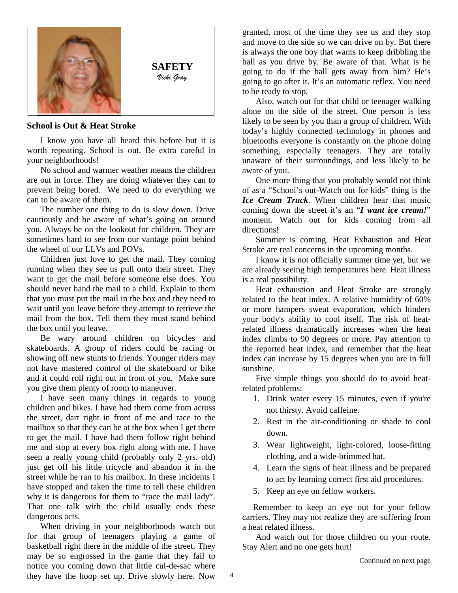

### **School is Out & Heat Stroke**

I know you have all heard this before but it is worth repeating. School is out. Be extra careful in your neighborhoods!

No school and warmer weather means the children are out in force. They are doing whatever they can to prevent being bored. We need to do everything we can to be aware of them.

The number one thing to do is slow down. Drive cautiously and be aware of what's going on around you. Always be on the lookout for children. They are sometimes hard to see from our vantage point behind the wheel of our LLVs and POVs.

Children just love to get the mail. They coming running when they see us pull onto their street. They want to get the mail before someone else does. You should never hand the mail to a child. Explain to them that you must put the mail in the box and they need to wait until you leave before they attempt to retrieve the mail from the box. Tell them they must stand behind the box until you leave.

Be wary around children on bicycles and skateboards. A group of riders could be racing or showing off new stunts to friends. Younger riders may not have mastered control of the skateboard or bike and it could roll right out in front of you. Make sure you give them plenty of room to maneuver.

I have seen many things in regards to young children and bikes. I have had them come from across the street, dart right in front of me and race to the mailbox so that they can be at the box when I get there to get the mail. I have had them follow right behind me and stop at every box right along with me. I have seen a really young child (probably only 2 yrs. old) just get off his little tricycle and abandon it in the street while he ran to his mailbox. In these incidents I have stopped and taken the time to tell these children why it is dangerous for them to "race the mail lady". That one talk with the child usually ends these dangerous acts.

When driving in your neighborhoods watch out for that group of teenagers playing a game of basketball right there in the middle of the street. They may be so engrossed in the game that they fail to notice you coming down that little cul-de-sac where they have the hoop set up. Drive slowly here. Now

granted, most of the time they see us and they stop and move to the side so we can drive on by. But there is always the one boy that wants to keep dribbling the ball as you drive by. Be aware of that. What is he going to do if the ball gets away from him? He's going to go after it. It's an automatic reflex. You need to be ready to stop.

Also, watch out for that child or teenager walking alone on the side of the street. One person is less likely to be seen by you than a group of children. With today's highly connected technology in phones and bluetooths everyone is constantly on the phone doing something, especially teenagers. They are totally unaware of their surroundings, and less likely to be aware of you.

One more thing that you probably would not think of as a "School's out-Watch out for kids" thing is the *Ice Cream Truck*. When children hear that music coming down the street it's an "*I want ice cream!*" moment. Watch out for kids coming from all directions!

Summer is coming. Heat Exhaustion and Heat Stroke are real concerns in the upcoming months.

I know it is not officially summer time yet, but we are already seeing high temperatures here. Heat illness is a real possibility.

Heat exhaustion and Heat Stroke are strongly related to the heat index. A relative humidity of 60% or more hampers sweat evaporation, which hinders your body's ability to cool itself. The risk of heatrelated illness dramatically increases when the heat index climbs to 90 degrees or more. Pay attention to the reported heat index, and remember that the heat index can increase by 15 degrees when you are in full sunshine.

Five simple things you should do to avoid heatrelated problems:

- 1. Drink water every 15 minutes, even if you're not thirsty. Avoid caffeine.
- 2. Rest in the air-conditioning or shade to cool down.
- 3. Wear lightweight, light-colored, loose-fitting clothing, and a wide-brimmed hat.
- 4. Learn the signs of heat illness and be prepared to act by learning correct first aid procedures.
- 5. Keep an eye on fellow workers.

Remember to keep an eye out for your fellow carriers. They may not realize they are suffering from a heat related illness.

And watch out for those children on your route. Stay Alert and no one gets hurt!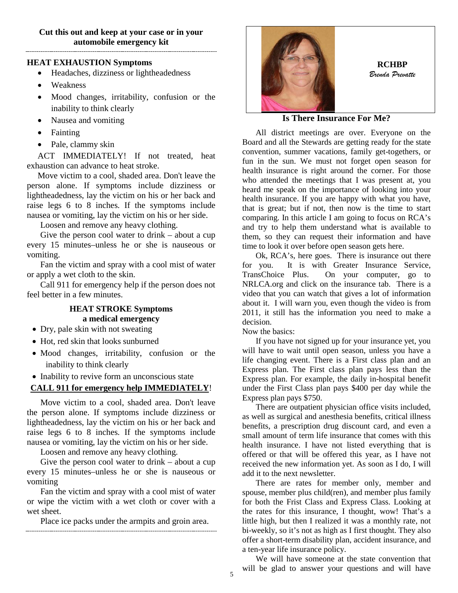### **HEAT EXHAUSTION Symptoms**

- Headaches, dizziness or lightheadedness
- Weakness
- Mood changes, irritability, confusion or the inability to think clearly
- Nausea and vomiting
- Fainting
- Pale, clammy skin

ACT IMMEDIATELY! If not treated, heat exhaustion can advance to heat stroke.

Move victim to a cool, shaded area. Don't leave the person alone. If symptoms include dizziness or lightheadedness, lay the victim on his or her back and raise legs 6 to 8 inches. If the symptoms include nausea or vomiting, lay the victim on his or her side.

Loosen and remove any heavy clothing.

Give the person cool water to drink – about a cup every 15 minutes–unless he or she is nauseous or vomiting.

Fan the victim and spray with a cool mist of water or apply a wet cloth to the skin.

Call 911 for emergency help if the person does not feel better in a few minutes.

### **HEAT STROKE Symptoms a medical emergency**

- Dry, pale skin with not sweating
- Hot, red skin that looks sunburned
- Mood changes, irritability, confusion or the inability to think clearly
- Inability to revive form an unconscious state

### **CALL 911 for emergency help IMMEDIATELY**!

Move victim to a cool, shaded area. Don't leave the person alone. If symptoms include dizziness or lightheadedness, lay the victim on his or her back and raise legs 6 to 8 inches. If the symptoms include nausea or vomiting, lay the victim on his or her side.

Loosen and remove any heavy clothing.

Give the person cool water to drink – about a cup every 15 minutes–unless he or she is nauseous or vomiting

Fan the victim and spray with a cool mist of water or wipe the victim with a wet cloth or cover with a wet sheet.

Place ice packs under the armpits and groin area.



### **Is There Insurance For Me?**

All district meetings are over. Everyone on the Board and all the Stewards are getting ready for the state convention, summer vacations, family get-togethers, or fun in the sun. We must not forget open season for health insurance is right around the corner. For those who attended the meetings that I was present at, you heard me speak on the importance of looking into your health insurance. If you are happy with what you have, that is great; but if not, then now is the time to start comparing. In this article I am going to focus on RCA's and try to help them understand what is available to them, so they can request their information and have time to look it over before open season gets here.

Ok, RCA's, here goes. There is insurance out there for you. It is with Greater Insurance Service, TransChoice Plus. On your computer, go to NRLCA.org and click on the insurance tab. There is a video that you can watch that gives a lot of information about it. I will warn you, even though the video is from 2011, it still has the information you need to make a decision.

Now the basics:

If you have not signed up for your insurance yet, you will have to wait until open season, unless you have a life changing event. There is a First class plan and an Express plan. The First class plan pays less than the Express plan. For example, the daily in-hospital benefit under the First Class plan pays \$400 per day while the Express plan pays \$750.

There are outpatient physician office visits included, as well as surgical and anesthesia benefits, critical illness benefits, a prescription drug discount card, and even a small amount of term life insurance that comes with this health insurance. I have not listed everything that is offered or that will be offered this year, as I have not received the new information yet. As soon as I do, I will add it to the next newsletter.

There are rates for member only, member and spouse, member plus child(ren), and member plus family for both the Frist Class and Express Class. Looking at the rates for this insurance, I thought, wow! That's a little high, but then I realized it was a monthly rate, not bi-weekly, so it's not as high as I first thought. They also offer a short-term disability plan, accident insurance, and a ten-year life insurance policy.

We will have someone at the state convention that will be glad to answer your questions and will have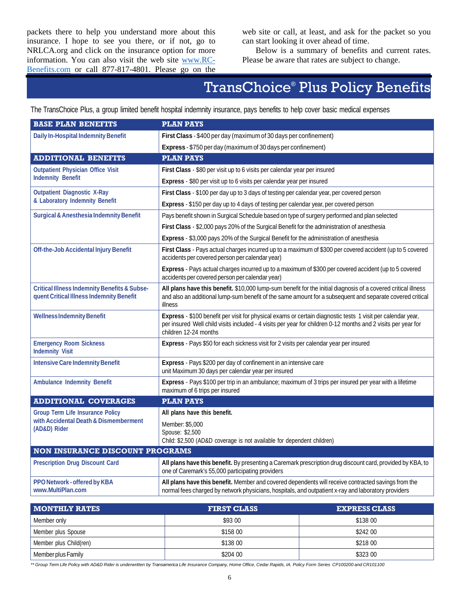packets there to help you understand more about this insurance. I hope to see you there, or if not, go to NRLCA.org and click on the insurance option for more information. You can also visit the web site [www.RC-](http://www.rc-benefits.com/)[Benefits.com](http://www.rc-benefits.com/) or call 877-817-4801. Please go on the

web site or call, at least, and ask for the packet so you can start looking it over ahead of time.

Below is a summary of benefits and current rates. Please be aware that rates are subject to change.

# TransChoice® Plus Policy Benefits

The TransChoice Plus, a group limited benefit hospital indemnity insurance, pays benefits to help cover basic medical expenses

| <b>BASE PLAN BENEFITS</b>                                                                           | <b>PLAN PAYS</b>                                                                                                                                                                                                                                      |
|-----------------------------------------------------------------------------------------------------|-------------------------------------------------------------------------------------------------------------------------------------------------------------------------------------------------------------------------------------------------------|
| <b>Daily In-Hospital Indemnity Benefit</b>                                                          | First Class - \$400 per day (maximum of 30 days per confinement)                                                                                                                                                                                      |
|                                                                                                     | Express - \$750 per day (maximum of 30 days per confinement)                                                                                                                                                                                          |
| <b>ADDITIONAL BENEFITS</b>                                                                          | <b>PLAN PAYS</b>                                                                                                                                                                                                                                      |
| <b>Outpatient Physician Office Visit</b>                                                            | First Class - \$80 per visit up to 6 visits per calendar year per insured                                                                                                                                                                             |
| <b>Indemnity Benefit</b>                                                                            | Express - \$80 per visit up to 6 visits per calendar year per insured                                                                                                                                                                                 |
| <b>Outpatient Diagnostic X-Ray</b>                                                                  | First Class - \$100 per day up to 3 days of testing per calendar year, per covered person                                                                                                                                                             |
| & Laboratory Indemnity Benefit                                                                      | Express - \$150 per day up to 4 days of testing per calendar year, per covered person                                                                                                                                                                 |
| <b>Surgical &amp; Anesthesia Indemnity Benefit</b>                                                  | Pays benefit shown in Surgical Schedule based on type of surgery performed and plan selected                                                                                                                                                          |
|                                                                                                     | First Class - \$2,000 pays 20% of the Surgical Benefit for the administration of anesthesia                                                                                                                                                           |
|                                                                                                     | Express - \$3,000 pays 20% of the Surgical Benefit for the administration of anesthesia                                                                                                                                                               |
| <b>Off-the-Job Accidental Injury Benefit</b>                                                        | First Class - Pays actual charges incurred up to a maximum of \$300 per covered accident (up to 5 covered<br>accidents per covered person per calendar year)                                                                                          |
|                                                                                                     | Express - Pays actual charges incurred up to a maximum of \$300 per covered accident (up to 5 covered<br>accidents per covered person per calendar year)                                                                                              |
| <b>Critical Illness Indemnity Benefits &amp; Subse-</b><br>quent Critical Illness Indemnity Benefit | All plans have this benefit. \$10,000 lump-sum benefit for the initial diagnosis of a covered critical illness<br>and also an additional lump-sum benefit of the same amount for a subsequent and separate covered critical<br>illness                |
| <b>Wellness Indemnity Benefit</b>                                                                   | Express - \$100 benefit per visit for physical exams or certain diagnostic tests 1 visit per calendar year,<br>per insured Well child visits included - 4 visits per year for children 0-12 months and 2 visits per year for<br>children 12-24 months |
| <b>Emergency Room Sickness</b><br><b>Indemnity Visit</b>                                            | Express - Pays \$50 for each sickness visit for 2 visits per calendar year per insured                                                                                                                                                                |
| <b>Intensive Care Indemnity Benefit</b>                                                             | Express - Pays \$200 per day of confinement in an intensive care                                                                                                                                                                                      |
|                                                                                                     | unit Maximum 30 days per calendar year per insured                                                                                                                                                                                                    |
| <b>Ambulance Indemnity Benefit</b>                                                                  | Express - Pays \$100 per trip in an ambulance; maximum of 3 trips per insured per year with a lifetime<br>maximum of 6 trips per insured                                                                                                              |
| <b>ADDITIONAL COVERAGES</b>                                                                         | <b>PLAN PAYS</b>                                                                                                                                                                                                                                      |
| <b>Group Term Life Insurance Policy</b>                                                             | All plans have this benefit.                                                                                                                                                                                                                          |
| with Accidental Death & Dismemberment<br>(AD&D) Rider                                               | Member: \$5,000<br>Spouse: \$2,500<br>Child: \$2,500 (AD&D coverage is not available for dependent children)                                                                                                                                          |
| <b>NON INSURANCE DISCOUNT PROGRAMS</b>                                                              |                                                                                                                                                                                                                                                       |
| <b>Prescription Drug Discount Card</b>                                                              | All plans have this benefit. By presenting a Caremark prescription drug discount card, provided by KBA, to<br>one of Caremark's 55,000 participating providers                                                                                        |
| PPO Network - offered by KBA<br>www.MultiPlan.com                                                   | All plans have this benefit. Member and covered dependents will receive contracted savings from the<br>normal fees charged by network physicians, hospitals, and outpatient x-ray and laboratory providers                                            |

| <b>NONTHLY RATES</b>   | <b>FIRST CLASS</b> | <b>EXPRESS CLASS</b> |
|------------------------|--------------------|----------------------|
| Member only            | \$93 00            | \$138 00             |
| Member plus Spouse     | \$158 00           | \$242 00             |
| Member plus Child(ren) | \$138 00           | \$218 00             |
| Member plus Family     | \$204 00           | \$323 00             |

\*\* Group Term Life Policy with AD&D Rider is underwritten by Transamerica Life Insurance Company, Home Office, Cedar Rapids, IA. Policy Form Series CP100200 and CR101100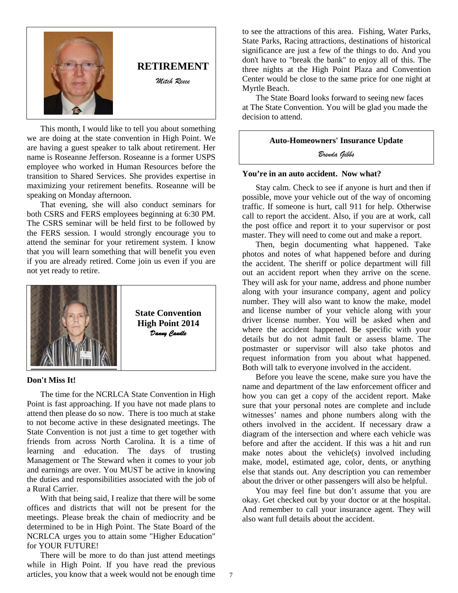

This month, I would like to tell you about something we are doing at the state convention in High Point. We are having a guest speaker to talk about retirement. Her name is Roseanne Jefferson. Roseanne is a former USPS employee who worked in Human Resources before the transition to Shared Services. She provides expertise in maximizing your retirement benefits. Roseanne will be speaking on Monday afternoon.

That evening, she will also conduct seminars for both CSRS and FERS employees beginning at 6:30 PM. The CSRS seminar will be held first to be followed by the FERS session. I would strongly encourage you to attend the seminar for your retirement system. I know that you will learn something that will benefit you even if you are already retired. Come join us even if you are not yet ready to retire.



### **Don't Miss It!**

The time for the NCRLCA State Convention in High Point is fast approaching. If you have not made plans to attend then please do so now. There is too much at stake to not become active in these designated meetings. The State Convention is not just a time to get together with friends from across North Carolina. It is a time of learning and education. The days of trusting Management or The Steward when it comes to your job and earnings are over. You MUST be active in knowing the duties and responsibilities associated with the job of a Rural Carrier.

With that being said, I realize that there will be some offices and districts that will not be present for the meetings. Please break the chain of mediocrity and be determined to be in High Point. The State Board of the NCRLCA urges you to attain some "Higher Education" for YOUR FUTURE!

There will be more to do than just attend meetings while in High Point. If you have read the previous articles, you know that a week would not be enough time to see the attractions of this area. Fishing, Water Parks, State Parks, Racing attractions, destinations of historical significance are just a few of the things to do. And you don't have to "break the bank" to enjoy all of this. The three nights at the High Point Plaza and Convention Center would be close to the same price for one night at Myrtle Beach.

The State Board looks forward to seeing new faces at The State Convention. You will be glad you made the decision to attend.

### **Auto-Homeowners' Insurance Update**

*Brenda Gibbs*

### **You're in an auto accident. Now what?**

Stay calm. Check to see if anyone is hurt and then if possible, move your vehicle out of the way of oncoming traffic. If someone is hurt, call 911 for help. Otherwise call to report the accident. Also, if you are at work, call the post office and report it to your supervisor or post master. They will need to come out and make a report.

Then, begin documenting what happened. Take photos and notes of what happened before and during the accident. The sheriff or police department will fill out an accident report when they arrive on the scene. They will ask for your name, address and phone number along with your insurance company, agent and policy number. They will also want to know the make, model and license number of your vehicle along with your driver license number. You will be asked when and where the accident happened. Be specific with your details but do not admit fault or assess blame. The postmaster or supervisor will also take photos and request information from you about what happened. Both will talk to everyone involved in the accident.

Before you leave the scene, make sure you have the name and department of the law enforcement officer and how you can get a copy of the accident report. Make sure that your personal notes are complete and include witnesses' names and phone numbers along with the others involved in the accident. If necessary draw a diagram of the intersection and where each vehicle was before and after the accident. If this was a hit and run make notes about the vehicle(s) involved including make, model, estimated age, color, dents, or anything else that stands out. Any description you can remember about the driver or other passengers will also be helpful.

You may feel fine but don't assume that you are okay. Get checked out by your doctor or at the hospital. And remember to call your insurance agent. They will also want full details about the accident.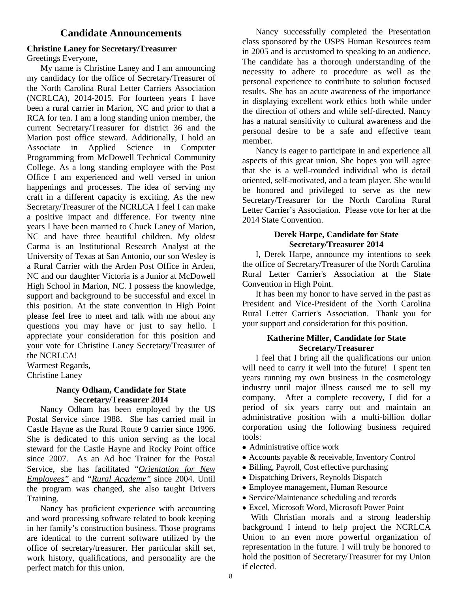### **Candidate Announcements**

### **Christine Laney for Secretary/Treasurer** Greetings Everyone,

My name is Christine Laney and I am announcing my candidacy for the office of Secretary/Treasurer of the North Carolina Rural Letter Carriers Association (NCRLCA), 2014-2015. For fourteen years I have been a rural carrier in Marion, NC and prior to that a RCA for ten. I am a long standing union member, the current Secretary/Treasurer for district 36 and the Marion post office steward. Additionally, I hold an Associate in Applied Science in Computer Programming from McDowell Technical Community College. As a long standing employee with the Post Office I am experienced and well versed in union happenings and processes. The idea of serving my craft in a different capacity is exciting. As the new Secretary/Treasurer of the NCRLCA I feel I can make a positive impact and difference. For twenty nine years I have been married to Chuck Laney of Marion, NC and have three beautiful children. My oldest Carma is an Institutional Research Analyst at the University of Texas at San Antonio, our son Wesley is a Rural Carrier with the Arden Post Office in Arden, NC and our daughter Victoria is a Junior at McDowell High School in Marion, NC. I possess the knowledge, support and background to be successful and excel in this position. At the state convention in High Point please feel free to meet and talk with me about any questions you may have or just to say hello. I appreciate your consideration for this position and your vote for Christine Laney Secretary/Treasurer of the NCRLCA!

Warmest Regards, Christine Laney

### **Nancy Odham, Candidate for State Secretary/Treasurer 2014**

Nancy Odham has been employed by the US Postal Service since 1988. She has carried mail in Castle Hayne as the Rural Route 9 carrier since 1996. She is dedicated to this union serving as the local steward for the Castle Hayne and Rocky Point office since 2007. As an Ad hoc Trainer for the Postal Service, she has facilitated "*Orientation for New Employees"* and "*Rural Academy"* since 2004. Until the program was changed, she also taught Drivers Training.

Nancy has proficient experience with accounting and word processing software related to book keeping in her family's construction business. Those programs are identical to the current software utilized by the office of secretary/treasurer. Her particular skill set, work history, qualifications, and personality are the perfect match for this union.

Nancy successfully completed the Presentation class sponsored by the USPS Human Resources team in 2005 and is accustomed to speaking to an audience. The candidate has a thorough understanding of the necessity to adhere to procedure as well as the personal experience to contribute to solution focused results. She has an acute awareness of the importance in displaying excellent work ethics both while under the direction of others and while self-directed. Nancy has a natural sensitivity to cultural awareness and the personal desire to be a safe and effective team member.

Nancy is eager to participate in and experience all aspects of this great union. She hopes you will agree that she is a well-rounded individual who is detail oriented, self-motivated, and a team player. She would be honored and privileged to serve as the new Secretary/Treasurer for the North Carolina Rural Letter Carrier's Association. Please vote for her at the 2014 State Convention.

### **Derek Harpe, Candidate for State Secretary/Treasurer 2014**

I, Derek Harpe, announce my intentions to seek the office of Secretary/Treasurer of the North Carolina Rural Letter Carrier's Association at the State Convention in High Point.

It has been my honor to have served in the past as President and Vice-President of the North Carolina Rural Letter Carrier's Association. Thank you for your support and consideration for this position.

### **Katherine Miller, Candidate for State Secretary/Treasurer**

I feel that I bring all the qualifications our union will need to carry it well into the future! I spent ten years running my own business in the cosmetology industry until major illness caused me to sell my company. After a complete recovery, I did for a period of six years carry out and maintain an administrative position with a multi-billion dollar corporation using the following business required tools:

- Administrative office work
- Accounts payable & receivable, Inventory Control
- Billing, Payroll, Cost effective purchasing
- Dispatching Drivers, Reynolds Dispatch
- Employee management, Human Resource
- Service/Maintenance scheduling and records
- Excel, Microsoft Word, Microsoft Power Point

 With Christian morals and a strong leadership background I intend to help project the NCRLCA Union to an even more powerful organization of representation in the future. I will truly be honored to hold the position of Secretary/Treasurer for my Union if elected.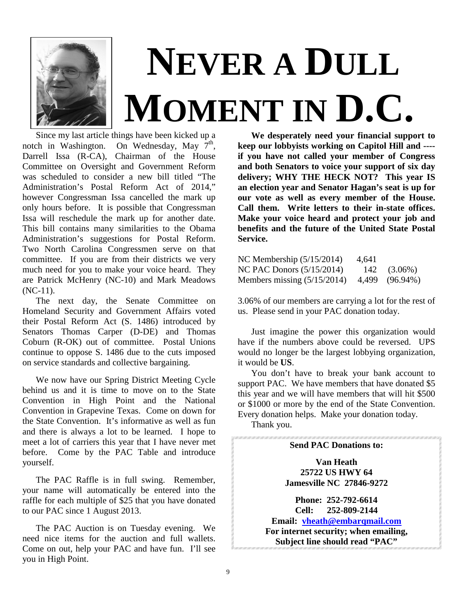

# **NEVER A DULL MOMENT IN D.C.**

Since my last article things have been kicked up a<br>notch in Washington. On Wednesday, May  $7<sup>th</sup>$ , On Wednesday, May  $7<sup>th</sup>$ , Darrell Issa (R-CA), Chairman of the House Committee on Oversight and Government Reform was scheduled to consider a new bill titled "The Administration's Postal Reform Act of 2014," however Congressman Issa cancelled the mark up only hours before. It is possible that Congressman Issa will reschedule the mark up for another date. This bill contains many similarities to the Obama Administration's suggestions for Postal Reform. Two North Carolina Congressmen serve on that committee. If you are from their districts we very much need for you to make your voice heard. They are Patrick McHenry (NC-10) and Mark Meadows  $(NC-11)$ .

The next day, the Senate Committee on Homeland Security and Government Affairs voted their Postal Reform Act (S. 1486) introduced by Senators Thomas Carper (D-DE) and Thomas Coburn (R-OK) out of committee. Postal Unions continue to oppose S. 1486 due to the cuts imposed on service standards and collective bargaining.

We now have our Spring District Meeting Cycle behind us and it is time to move on to the State Convention in High Point and the National Convention in Grapevine Texas. Come on down for the State Convention. It's informative as well as fun and there is always a lot to be learned. I hope to meet a lot of carriers this year that I have never met before. Come by the PAC Table and introduce yourself.

The PAC Raffle is in full swing. Remember, your name will automatically be entered into the raffle for each multiple of \$25 that you have donated to our PAC since 1 August 2013.

The PAC Auction is on Tuesday evening. We need nice items for the auction and full wallets. Come on out, help your PAC and have fun. I'll see you in High Point.

**We desperately need your financial support to keep our lobbyists working on Capitol Hill and --- if you have not called your member of Congress and both Senators to voice your support of six day delivery; WHY THE HECK NOT? This year IS an election year and Senator Hagan's seat is up for our vote as well as every member of the House. Call them. Write letters to their in-state offices. Make your voice heard and protect your job and benefits and the future of the United State Postal Service.**

| NC Membership $(5/15/2014)$   | 4,641 |                  |
|-------------------------------|-------|------------------|
| NC PAC Donors $(5/15/2014)$   |       | $142$ $(3.06\%)$ |
| Members missing $(5/15/2014)$ |       | 4,499 (96.94%)   |

3.06% of our members are carrying a lot for the rest of us. Please send in your PAC donation today.

Just imagine the power this organization would have if the numbers above could be reversed. UPS would no longer be the largest lobbying organization, it would be **US**.

You don't have to break your bank account to support PAC. We have members that have donated \$5 this year and we will have members that will hit \$500 or \$1000 or more by the end of the State Convention. Every donation helps. Make your donation today.

Thank you.

### **Send PAC Donations to:**

**Van Heath 25722 US HWY 64 Jamesville NC 27846-9272**

**Phone: 252-792-6614 Cell: 252-809-2144 Email: [vheath@embarqmail.com](mailto:vheath@embarqmail.com) For internet security; when emailing, Subject line should read "PAC"**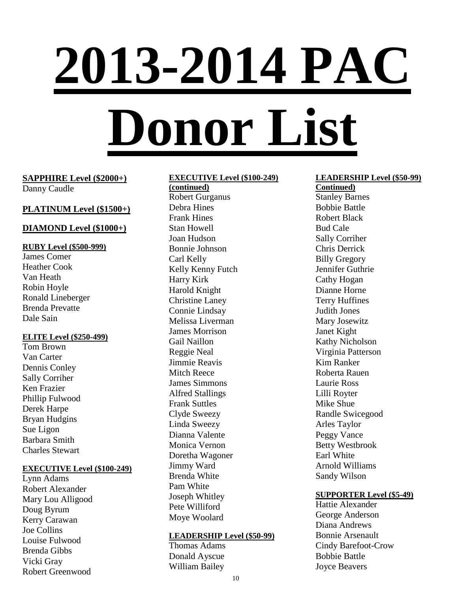# **2013-2014 PAC Donor List**

### **SAPPHIRE Level (\$2000+)** Danny Caudle

### **PLATINUM Level (\$1500+)**

### **DIAMOND Level (\$1000+)**

### **RUBY Level (\$500-999)**

James Comer Heather Cook Van Heath Robin Hoyle Ronald Lineberger Brenda Prevatte Dale Sain

### **ELITE Level (\$250-499)**

Tom Brown Van Carter Dennis Conley Sally Corriher Ken Frazier Phillip Fulwood Derek Harpe Bryan Hudgins Sue Ligon Barbara Smith Charles Stewart

### **EXECUTIVE Level (\$100-249)**

Lynn Adams Robert Alexander Mary Lou Alligood Doug Byrum Kerry Carawan Joe Collins Louise Fulwood Brenda Gibbs Vicki Gray Robert Greenwood

### **EXECUTIVE Level (\$100-249)**

**(continued)** Robert Gurganus Debra Hines Frank Hines Stan Howell Joan Hudson Bonnie Johnson Carl Kelly Kelly Kenny Futch Harry Kirk Harold Knight Christine Laney Connie Lindsay Melissa Liverman James Morrison Gail Naillon Reggie Neal Jimmie Reavis Mitch Reece James Simmons Alfred Stallings Frank Suttles Clyde Sweezy Linda Sweezy Dianna Valente Monica Vernon Doretha Wagoner Jimmy Ward Brenda White Pam White Joseph Whitley Pete Williford Moye Woolard

### **LEADERSHIP Level (\$50-99)**

Thomas Adams Donald Ayscue William Bailey

### **LEADERSHIP Level (\$50-99)**

**Continued)** Stanley Barnes Bobbie Battle Robert Black Bud Cale Sally Corriher Chris Derrick Billy Gregory Jennifer Guthrie Cathy Hogan Dianne Horne Terry Huffines Judith Jones Mary Josewitz Janet Kight Kathy Nicholson Virginia Patterson Kim Ranker Roberta Rauen Laurie Ross Lilli Royter Mike Shue Randle Swicegood Arles Taylor Peggy Vance Betty Westbrook Earl White Arnold Williams Sandy Wilson

### **SUPPORTER Level (\$5-49)**

Hattie Alexander George Anderson Diana Andrews Bonnie Arsenault Cindy Barefoot-Crow Bobbie Battle Joyce Beavers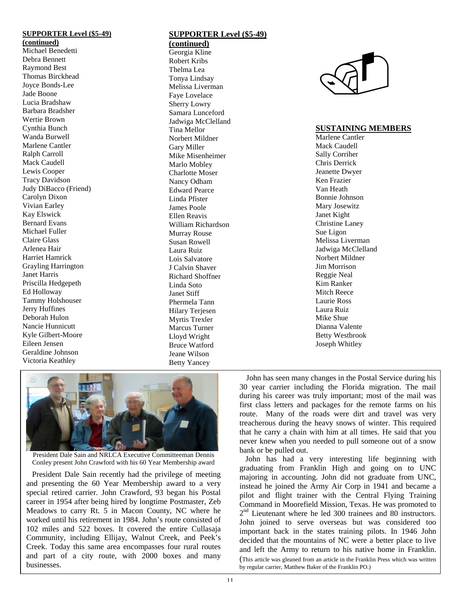### **SUPPORTER Level (\$5-49)**

**(continued)** Michael Benedetti Debra Bennett Raymond Best Thomas Birckhead Joyce Bonds-Lee Jade Boone Lucia Bradshaw Barbara Bradsher Wertie Brown Cynthia Bunch Wanda Burwell Marlene Cantler Ralph Carroll Mack Caudell Lewis Cooper Tracy Davidson Judy DiBacco (Friend) Carolyn Dixon Vivian Earley Kay Elswick Bernard Evans Michael Fuller Claire Glass Arlenea Hair Harriet Hamrick Grayling Harrington Janet Harris Priscilla Hedgepeth Ed Holloway Tammy Holshouser Jerry Huffines Deborah Hulon Nancie Hunnicutt Kyle Gilbert-Moore Eileen Jensen Geraldine Johnson Victoria Keathley

### **SUPPORTER Level (\$5-49) (continued)**

Georgia Kline Robert Kribs Thelma Lea Tonya Lindsay Melissa Liverman Faye Lovelace Sherry Lowry Samara Lunceford Jadwiga McClelland Tina Mellor Norbert Mildner Gary Miller Mike Misenheimer Marlo Mobley Charlotte Moser Nancy Odham Edward Pearce Linda Pfister James Poole Ellen Reavis William Richardson Murray Rouse Susan Rowell Laura Ruiz Lois Salvatore J Calvin Shaver Richard Shoffner Linda Soto Janet Stiff Phermela Tann Hilary Teriesen Myrtis Trexler Marcus Turner Lloyd Wright Bruce Watford Jeane Wilson Betty Yancey



### **SUSTAINING MEMBERS**

Marlene Cantler Mack Caudell Sally Corriher Chris Derrick Jeanette Dwyer Ken Frazier Van Heath Bonnie Johnson Mary Josewitz Janet Kight Christine Laney Sue Ligon Melissa Liverman Jadwiga McClelland Norbert Mildner Jim Morrison Reggie Neal Kim Ranker Mitch Reece Laurie Ross Laura Ruiz Mike Shue Dianna Valente Betty Westbrook Joseph Whitley



President Dale Sain and NRLCA Executive Committeeman Dennis Conley present John Crawford with his 60 Year Membership award

 President Dale Sain recently had the privilege of meeting and presenting the 60 Year Membership award to a very special retired carrier. John Crawford, 93 began his Postal career in 1954 after being hired by longtime Postmaster, Zeb Meadows to carry Rt. 5 in Macon County, NC where he worked until his retirement in 1984. John's route consisted of 102 miles and 522 boxes. It covered the entire Cullasaja Community, including Ellijay, Walnut Creek, and Peek's Creek. Today this same area encompasses four rural routes and part of a city route, with 2000 boxes and many businesses.

 John has seen many changes in the Postal Service during his 30 year carrier including the Florida migration. The mail during his career was truly important; most of the mail was first class letters and packages for the remote farms on his route. Many of the roads were dirt and travel was very treacherous during the heavy snows of winter. This required that he carry a chain with him at all times. He said that you never knew when you needed to pull someone out of a snow bank or be pulled out.

 John has had a very interesting life beginning with graduating from Franklin High and going on to UNC majoring in accounting. John did not graduate from UNC, instead he joined the Army Air Corp in 1941 and became a pilot and flight trainer with the Central Flying Training Command in Moorefield Mission, Texas. He was promoted to 2<sup>nd</sup> Lieutenant where he led 300 trainees and 80 instructors. John joined to serve overseas but was considered too important back in the states training pilots. In 1946 John decided that the mountains of NC were a better place to live and left the Army to return to his native home in Franklin. (This article was gleaned from an article in the Franklin Press which was written by regular carrier, Matthew Baker of the Franklin PO.)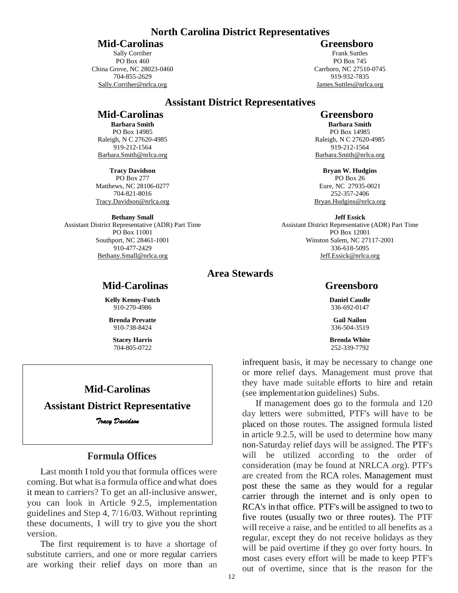### **North Carolina District Representatives**

### **Mid-Carolinas** Greensboro

Sally Corriher PO Box 460 China Grove, NC 28023-0460 704-855-2629 Sally.Corriher@nrlca.org

Frank Suttles PO Box 745 Carrboro, NC 27510-0745 919-932-7835 James.Suttles@nrlca.org

### **Assistant District Representatives**

### **Mid-Carolinas** Greensboro

**Barbara Smith** PO Box 14985 Raleigh, N C 27620-4985 919-212-1564 Barbara.Smith@nrlca.org

**Tracy Davidson** PO Box 277 Matthews, NC 28106-0277 704-821-8016 Tracy.Davidson@nrlca.org

**Bethany Small** Assistant District Representative (ADR) Part Time PO Box 11001 Southport, NC 28461-1001

910-477-2429 Bethany.Small@nrlca.org

# **Area Stewards**

**Kelly Kenny-Futch** 910-270-4986

**Brenda Prevatte** 910-738-8424

**Stacey Harris** 704-805-0722

### **Mid-Carolinas**

### **Assistant District Representative**

*Tracy Davidson* 

### **Formula Offices**

Last month I told you that formula offices were coming. But what isa formula office andwhat does it mean to carriers? To get an all-inclusive answer, you can look in Article 9.2.5, implementation guidelines and Step 4, 7/16/03. Without reprinting these documents, I will try to give you the short version.

The first requirement is to have a shortage of substitute carriers, and one or more regular carriers are working their relief days on more than an

**Barbara Smith** PO Box 14985 Raleigh, N C 27620-4985 919-212-1564 Barbara.Smith@nrlca.org

**Bryan W. Hudgins** PO Box 26 Eure, NC 27935-0021 252-357-2406 Bryan.Hudgins@nrlca.org

**Jeff Essick** Assistant District Representative (ADR) Part Time PO Box 12001 Winston Salem, NC 27117-2001 336-618-5095 Jeff.Essick@nrlca.org

### **Mid-Carolinas Greensboro**

**Daniel Caudle** 336-692-0147

**Gail Nailon** 336-504-3519

**Brenda White** 252-339-7792

infrequent basis, it may be necessary to change one or more relief days. Management must prove that they have made suitable efforts to hire and retain (see implementation guidelines) Subs.

If management does go to the formula and 120 day letters were submitted, PTF's will have to be placed on those routes. The assigned formula listed in article 9.2.5, will be used to determine how many non-Saturday relief days will be assigned. The PTF's will be utilized according to the order of consideration (may be found at NRLCA .org). PTF's are created from the RCA roles. Management must post these the same as they would for a regular carrier through the internet and is only open to RCA's in that office. PTF's will be assigned to two to five routes (usually two or three routes). The PTF will receive a raise, and be entitled to all benefits as a regular, except they do not receive holidays as they will be paid overtime if they go over forty hours. In most cases every effort will be made to keep PTF's out of overtime, since that is the reason for the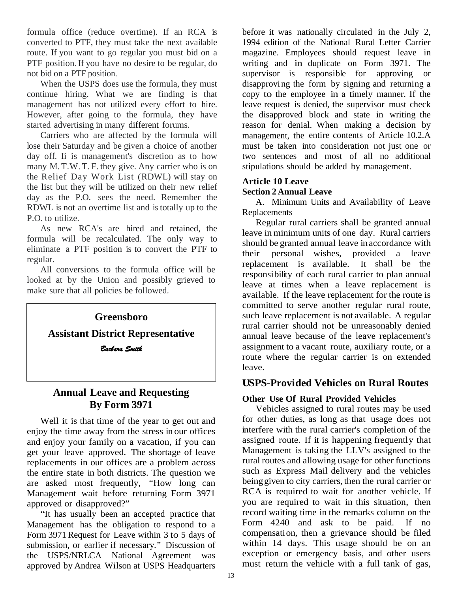formula office (reduce overtime). If an RCA is converted to PTF, they must take the next available route. If you want to go regular you must bid on a PTF position. If you have no desire to be regular, do not bid on a PTF position.

When the USPS does use the formula, they must continue hiring. What we are finding is that management has not utilized every effort to hire. However, after going to the formula, they have started advertising in many different forums.

Carriers who are affected by the formula will lose their Saturday and be given a choice of another day off*.* Ii is management's discretion as to how many M.T.W.T. F. they give. Any carrier who is on the Relief Day Work List (RDWL) will stay on the list but they will be utilized on their new relief day as the P.O. sees the need. Remember the RDWL is not an overtime list and istotally up to the P.O. to utilize.

As new RCA's are hired and retained, the formula will be recalculated. The only way to eliminate a PTF position is to convert the PTF to regular.

All conversions to the formula office will be looked at by the Union and possibly grieved to make sure that all policies be followed.



## **Annual Leave and Requesting By Form 3971**

Well it is that time of the year to get out and enjoy the time away from the stress in our offices and enjoy your family on a vacation, if you can get your leave approved. The shortage of leave replacements in our offices are a problem across the entire state in both districts. The question we are asked most frequently, "How long can Management wait before returning Form 3971 approved or disapproved?"

"It has usually been an accepted practice that Management has the obligation to respond to a Form 3971 Request for Leave within 3 to 5 days of submission, or earlier if necessary." Discussion of the USPS/NRLCA National Agreement was approved by Andrea Wilson at USPS Headquarters

before it was nationally circulated in the July 2, 1994 edition of the National Rural Letter Carrier magazine. Employees should request leave in writing and in duplicate on Form 3971. The supervisor is responsible for approving or disapproving the form by signing and returning a copy to the employee in a timely manner. If the leave request is denied, the supervisor must check the disapproved block and state in writing the reason for denial. When making a decision by management, the entire contents of Article 10.2.A must be taken into consideration not just one or two sentences and most of all no additional stipulations should be added by management.

### **Article 10 Leave Section 2 Annual Leave**

A. Minimum Units and Availability of Leave Replacements

Regular rural carriers shall be granted annual leave in minimum units of one day. Rural carriers should be granted annual leave inaccordance with their personal wishes, provided a leave replacement is available. It shall be the responsibility of each rural carrier to plan annual leave at times when a leave replacement is available. If the leave replacement for the route is committed to serve another regular rural route, such leave replacement is not available. A regular rural carrier should not be unreasonably denied annual leave because of the leave replacement's assignment to a vacant route, auxiliary route, or a route where the regular carrier is on extended leave.

### **USPS-Provided Vehicles on Rural Routes**

### **Other Use Of Rural Provided Vehicles**

Vehicles assigned to rural routes may be used for other duties, as long as that usage does not interfere with the rural carrier's completion of the assigned route. If it is happening frequently that Management is taking the LLV's assigned to the rural routes and allowing usage for other functions such as Express Mail delivery and the vehicles beinggiven to city carriers, then the rural carrier or RCA is required to wait for another vehicle. If you are required to wait in this situation, then record waiting time in the remarks column on the Form 4240 and ask to be paid. If no compensation, then a grievance should be filed within 14 days. This usage should be on an exception or emergency basis, and other users must return the vehicle with a full tank of gas,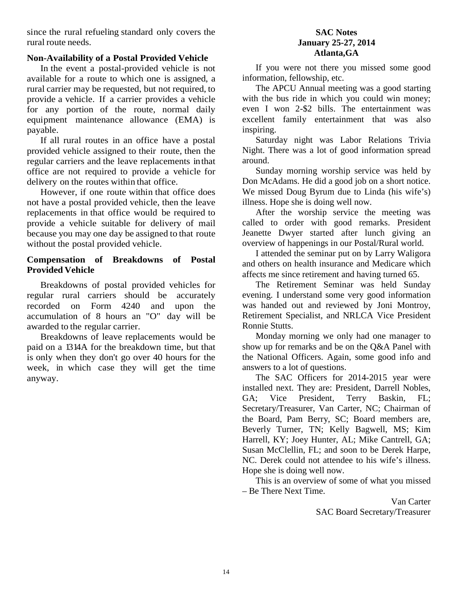since the rural refueling standard only covers the rural route needs.

### **Non-Availability of a Postal Provided Vehicle**

In the event a postal-provided vehicle is not available for a route to which one is assigned, a rural carrier may be requested, but not required, to provide a vehicle. If a carrier provides a vehicle for any portion of the route, normal daily equipment maintenance allowance (EMA) is payable.

If all rural routes in an office have a postal provided vehicle assigned to their route, then the regular carriers and the leave replacements inthat office are not required to provide a vehicle for delivery on the routes within that office.

However, if one route within that office does not have a postal provided vehicle, then the leave replacements in that office would be required to provide a vehicle suitable for delivery of mail because you may one day be assigned to that route without the postal provided vehicle.

### **Compensation of Breakdowns of Postal Provided Vehicle**

Breakdowns of postal provided vehicles for regular rural carriers should be accurately recorded on Form 4240 and upon the accumulation of 8 hours an "O" day will be awarded to the regular carrier.

Breakdowns of leave replacements would be paid on a 1314A for the breakdown time, but that is only when they don't go over 40 hours for the week, in which case they will get the time anyway.

### **SAC Notes January 25-27, 2014 Atlanta,GA**

If you were not there you missed some good information, fellowship, etc.

The APCU Annual meeting was a good starting with the bus ride in which you could win money; even I won 2-\$2 bills. The entertainment was excellent family entertainment that was also inspiring.

Saturday night was Labor Relations Trivia Night. There was a lot of good information spread around.

Sunday morning worship service was held by Don McAdams. He did a good job on a short notice. We missed Doug Byrum due to Linda (his wife's) illness. Hope she is doing well now.

After the worship service the meeting was called to order with good remarks. President Jeanette Dwyer started after lunch giving an overview of happenings in our Postal/Rural world.

I attended the seminar put on by Larry Waligora and others on health insurance and Medicare which affects me since retirement and having turned 65.

The Retirement Seminar was held Sunday evening. I understand some very good information was handed out and reviewed by Joni Montroy, Retirement Specialist, and NRLCA Vice President Ronnie Stutts.

Monday morning we only had one manager to show up for remarks and be on the Q&A Panel with the National Officers. Again, some good info and answers to a lot of questions.

The SAC Officers for 2014-2015 year were installed next. They are: President, Darrell Nobles, GA; Vice President, Terry Baskin, FL; Secretary/Treasurer, Van Carter, NC; Chairman of the Board, Pam Berry, SC; Board members are, Beverly Turner, TN; Kelly Bagwell, MS; Kim Harrell, KY; Joey Hunter, AL; Mike Cantrell, GA; Susan McClellin, FL; and soon to be Derek Harpe, NC. Derek could not attendee to his wife's illness. Hope she is doing well now.

This is an overview of some of what you missed – Be There Next Time.

> Van Carter SAC Board Secretary/Treasurer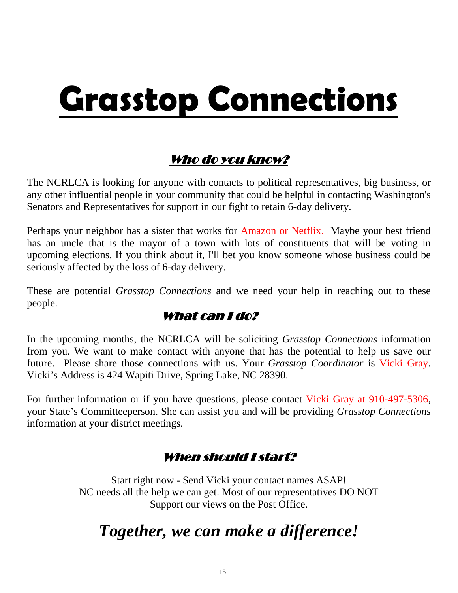# **Grasstop Connections**

# Who do you know?

The NCRLCA is looking for anyone with contacts to political representatives, big business, or any other influential people in your community that could be helpful in contacting Washington's Senators and Representatives for support in our fight to retain 6-day delivery.

Perhaps your neighbor has a sister that works for Amazon or Netflix. Maybe your best friend has an uncle that is the mayor of a town with lots of constituents that will be voting in upcoming elections. If you think about it, I'll bet you know someone whose business could be seriously affected by the loss of 6-day delivery.

These are potential *Grasstop Connections* and we need your help in reaching out to these people.

# What can I do?

In the upcoming months, the NCRLCA will be soliciting *Grasstop Connections* information from you. We want to make contact with anyone that has the potential to help us save our future. Please share those connections with us. Your *Grasstop Coordinator* is Vicki Gray. Vicki's Address is 424 Wapiti Drive, Spring Lake, NC 28390.

For further information or if you have questions, please contact Vicki Gray at 910-497-5306, your State's Committeeperson. She can assist you and will be providing *Grasstop Connections*  information at your district meetings.

# When should I start?

Start right now - Send Vicki your contact names ASAP! NC needs all the help we can get. Most of our representatives DO NOT Support our views on the Post Office.

# *Together, we can make a difference!*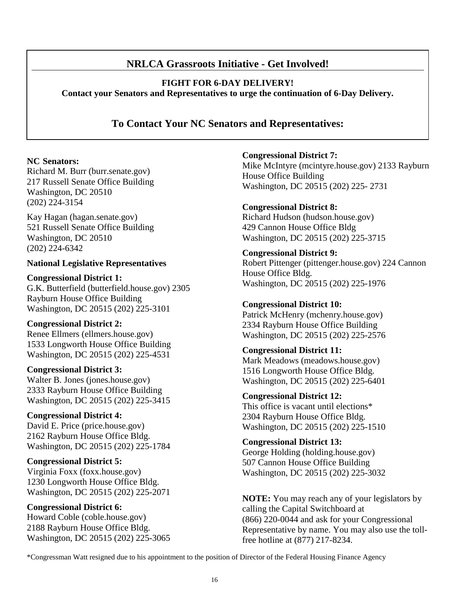### **NRLCA Grassroots Initiative - Get Involved!**

**FIGHT FOR 6-DAY DELIVERY!**

**Contact your Senators and Representatives to urge the continuation of 6-Day Delivery.**

**To Contact Your NC Senators and Representatives:**

### **NC Senators:**

Richard M. Burr (burr.senate.gov) 217 Russell Senate Office Building Washington, DC 20510 (202) 224-3154

Kay Hagan (hagan.senate.gov) 521 Russell Senate Office Building Washington, DC 20510 (202) 224-6342

### **National Legislative Representatives**

**Congressional District 1:**  G.K. Butterfield (butterfield.house.gov) 2305 Rayburn House Office Building Washington, DC 20515 (202) 225-3101

### **Congressional District 2:**

Renee Ellmers (ellmers.house.gov) 1533 Longworth House Office Building Washington, DC 20515 (202) 225-4531

### **Congressional District 3:**

Walter B. Jones (jones.house.gov) 2333 Rayburn House Office Building Washington, DC 20515 (202) 225-3415

### **Congressional District 4:**

David E. Price (price.house.gov) 2162 Rayburn House Office Bldg. Washington, DC 20515 (202) 225-1784

### **Congressional District 5:**

Virginia Foxx (foxx.house.gov) 1230 Longworth House Office Bldg. Washington, DC 20515 (202) 225-2071

**Congressional District 6:** 

Howard Coble (coble.house.gov) 2188 Rayburn House Office Bldg. Washington, DC 20515 (202) 225-3065 **Congressional District 7:** 

Mike McIntyre (mcintyre.house.gov) 2133 Rayburn House Office Building Washington, DC 20515 (202) 225- 2731

### **Congressional District 8:**

Richard Hudson (hudson.house.gov) 429 Cannon House Office Bldg Washington, DC 20515 (202) 225-3715

### **Congressional District 9:**

Robert Pittenger (pittenger.house.gov) 224 Cannon House Office Bldg. Washington, DC 20515 (202) 225-1976

### **Congressional District 10:**

Patrick McHenry (mchenry.house.gov) 2334 Rayburn House Office Building Washington, DC 20515 (202) 225-2576

### **Congressional District 11:**

Mark Meadows (meadows.house.gov) 1516 Longworth House Office Bldg. Washington, DC 20515 (202) 225-6401

### **Congressional District 12:**

This office is vacant until elections\* 2304 Rayburn House Office Bldg. Washington, DC 20515 (202) 225-1510

## **Congressional District 13:**

George Holding (holding.house.gov) 507 Cannon House Office Building Washington, DC 20515 (202) 225-3032

**NOTE:** You may reach any of your legislators by calling the Capital Switchboard at (866) 220-0044 and ask for your Congressional Representative by name. You may also use the tollfree hotline at (877) 217-8234.

\*Congressman Watt resigned due to his appointment to the position of Director of the Federal Housing Finance Agency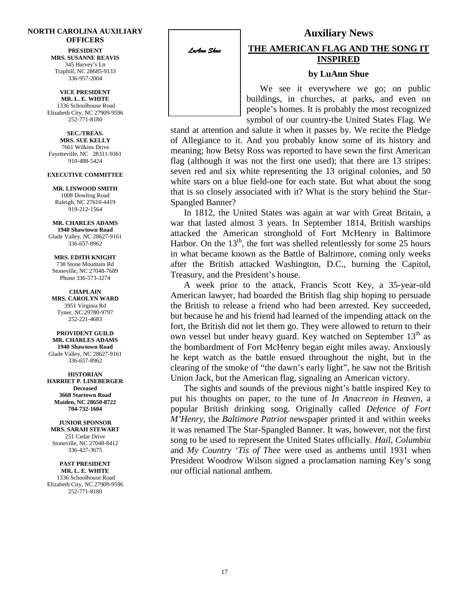### **NORTH CAROLINA AUXILIARY OFFICERS**

**PRESIDENT MRS. SUSANNE REAVIS** 345 Harvey's Ln Traphill, NC 28685-9133 336-957-2004

**VICE PRESIDENT MR. L. E. WHITE** 1336 Schoolhouse Road Elizabeth City, NC 27909-9596 252-771-8180

**SEC./TREAS. MRS. SUE KELLY** 7661 Wilkins Drive Fayetteville, NC 28311-9361 910-488-5424

### **EXECUTIVE COMMITTEE**

**MR. LINWOOD SMITH** 1008 Dowling Road Raleigh, NC 27610-4419 919-212-1564

**MR. CHARLES ADAMS 1940 Shawtown Road** Glade Valley, NC 28627-9161 336-657-8962

**MRS. EDITH KNIGHT** 738 Stone Mountain Rd Stoneville, NC 27048-7689 Phone 336-573-3274

**CHAPLAIN MRS. CAROLYN WARD** 3951 Virginia Rd Tyner, NC 29780-9797 252-221-4683

**PROVIDENT GUILD MR. CHARLES ADAMS 1940 Shawtown Road** Glade Valley, NC 28627-9161 336-657-8962

**HISTORIAN HARRIET P. LINEBERGER Deceased 3668 Startown Road Maiden, NC 28650-8722 704-732-1604**

**JUNIOR SPONSOR MRS. SARAH STEWART** 251 Cedar Drive Stoneville, NC 27048-8412 336-427-3675

**PAST PRESIDENT MR. L. E. WHITE** 1336 Schoolhouse Road Elizabeth City, NC 27909-9596 252-771-8180

*LuAnn Shue* 

İ

### **THE AMERICAN FLAG AND THE SONG IT INSPIRED**

**Auxiliary News**

### **by LuAnn Shue**

We see it everywhere we go; on public buildings, in churches, at parks, and even on people's homes. It is probably the most recognized symbol of our country-the United States Flag. We

stand at attention and salute it when it passes by. We recite the Pledge of Allegiance to it. And you probably know some of its history and meaning; how Betsy Ross was reported to have sewn the first American flag (although it was not the first one used); that there are 13 stripes: seven red and six white representing the 13 original colonies, and 50 white stars on a blue field-one for each state. But what about the song that is so closely associated with it? What is the story behind the Star-Spangled Banner?

In 1812, the United States was again at war with Great Britain, a war that lasted almost 3 years. In September 1814, British warships attacked the American stronghold of Fort McHenry in Baltimore Harbor. On the  $13<sup>th</sup>$ , the fort was shelled relentlessly for some 25 hours in what became known as the Battle of Baltimore, coming only weeks after the British attacked Washington, D.C., burning the Capitol, Treasury, and the President's house.

A week prior to the attack, Francis Scott Key, a 35-year-old American lawyer, had boarded the British flag ship hoping to persuade the British to release a friend who had been arrested. Key succeeded, but because he and his friend had learned of the impending attack on the fort, the British did not let them go. They were allowed to return to their own vessel but under heavy guard. Key watched on September  $13<sup>th</sup>$  as the bombardment of Fort McHenry began eight miles away. Anxiously he kept watch as the battle ensued throughout the night, but in the clearing of the smoke of "the dawn's early light", he saw not the British Union Jack, but the American flag, signaling an American victory.

The sights and sounds of the previous night's battle inspired Key to put his thoughts on paper, to the tune of *In Anacreon in Heaven,* a popular British drinking song. Originally called *Defence of Fort M'Henry,* the *Baltimore Patriot* newspaper printed it and within weeks it was renamed The Star-Spangled Banner. It was, however, not the first song to be used to represent the United States officially. *Hail, Columbia*  and *My Country 'Tis of Thee* were used as anthems until 1931 when President Woodrow Wilson signed a proclamation naming Key's song our official national anthem.